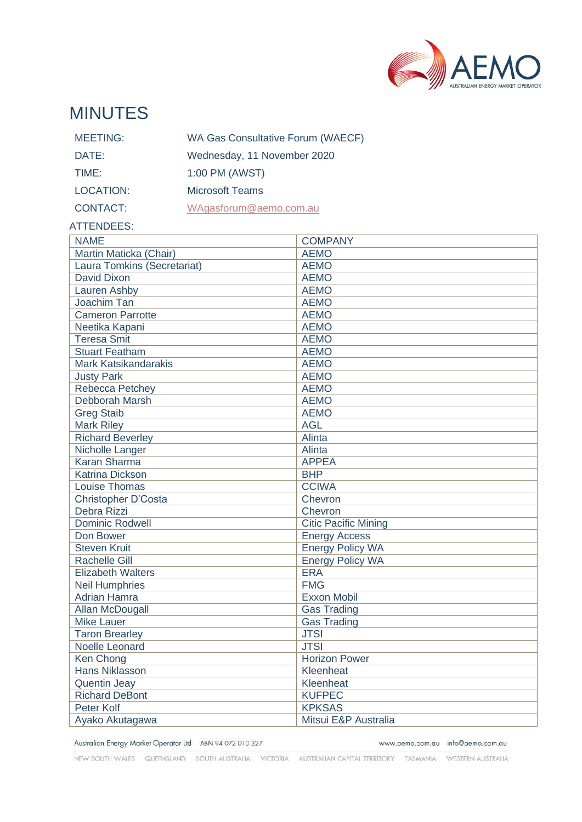

# MINUTES

| <b>MEETING:</b> | <b>WA Gas Consultative Forum (WAECF)</b> |
|-----------------|------------------------------------------|
| DATE:           | Wednesday, 11 November 2020              |
| TIME:           | 1:00 PM (AWST)                           |
| LOCATION:       | <b>Microsoft Teams</b>                   |
| <b>CONTACT:</b> | WAgasforum@aemo.com.au                   |

#### ATTENDEES:

| <b>NAME</b>                 | <b>COMPANY</b>              |
|-----------------------------|-----------------------------|
| Martin Maticka (Chair)      | <b>AEMO</b>                 |
| Laura Tomkins (Secretariat) | <b>AEMO</b>                 |
| <b>David Dixon</b>          | <b>AEMO</b>                 |
| Lauren Ashby                | <b>AEMO</b>                 |
| Joachim Tan                 | <b>AEMO</b>                 |
| <b>Cameron Parrotte</b>     | <b>AEMO</b>                 |
| Neetika Kapani              | <b>AEMO</b>                 |
| <b>Teresa Smit</b>          | <b>AEMO</b>                 |
| <b>Stuart Featham</b>       | <b>AEMO</b>                 |
| <b>Mark Katsikandarakis</b> | <b>AEMO</b>                 |
| <b>Justy Park</b>           | <b>AEMO</b>                 |
| <b>Rebecca Petchey</b>      | <b>AEMO</b>                 |
| Debborah Marsh              | <b>AEMO</b>                 |
| <b>Greg Staib</b>           | <b>AEMO</b>                 |
| <b>Mark Riley</b>           | <b>AGL</b>                  |
| <b>Richard Beverley</b>     | Alinta                      |
| Nicholle Langer             | Alinta                      |
| <b>Karan Sharma</b>         | <b>APPEA</b>                |
| <b>Katrina Dickson</b>      | <b>BHP</b>                  |
| <b>Louise Thomas</b>        | <b>CCIWA</b>                |
| <b>Christopher D'Costa</b>  | Chevron                     |
| Debra Rizzi                 | Chevron                     |
| <b>Dominic Rodwell</b>      | <b>Citic Pacific Mining</b> |
| Don Bower                   | <b>Energy Access</b>        |
| <b>Steven Kruit</b>         | <b>Energy Policy WA</b>     |
| <b>Rachelle Gill</b>        | <b>Energy Policy WA</b>     |
| <b>Elizabeth Walters</b>    | <b>ERA</b>                  |
| <b>Neil Humphries</b>       | <b>FMG</b>                  |
| <b>Adrian Hamra</b>         | <b>Exxon Mobil</b>          |
| <b>Allan McDougall</b>      | <b>Gas Trading</b>          |
| <b>Mike Lauer</b>           | <b>Gas Trading</b>          |
| <b>Taron Brearley</b>       | <b>JTSI</b>                 |
| <b>Noelle Leonard</b>       | <b>JTSI</b>                 |
| <b>Ken Chong</b>            | <b>Horizon Power</b>        |
| <b>Hans Niklasson</b>       | Kleenheat                   |
| <b>Quentin Jeay</b>         | Kleenheat                   |
| <b>Richard DeBont</b>       | <b>KUFPEC</b>               |
| <b>Peter Kolf</b>           | <b>KPKSAS</b>               |
| Ayako Akutagawa             | Mitsui E&P Australia        |

Australian Energy Market Operator Ltd ABN 94 072 010 327

www.aemo.com.au info@aemo.com.au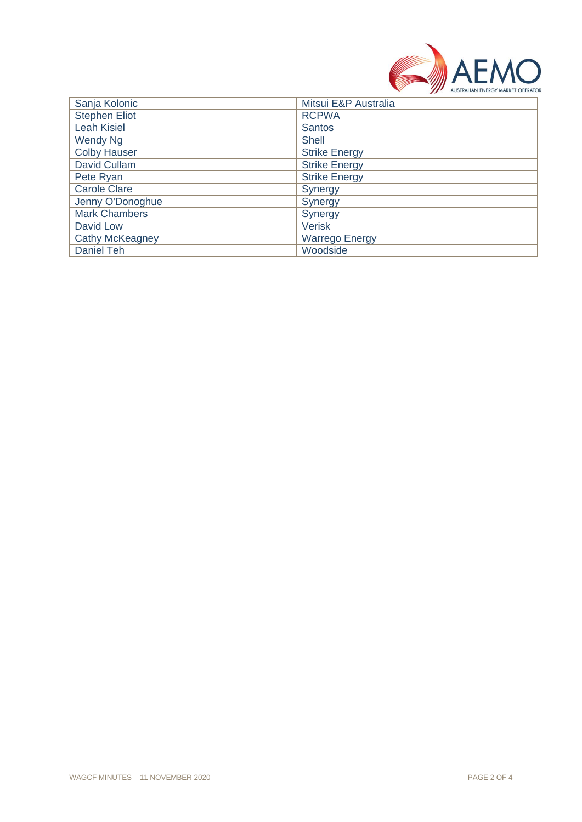

| Sanja Kolonic          | Mitsui E&P Australia  |
|------------------------|-----------------------|
| <b>Stephen Eliot</b>   | <b>RCPWA</b>          |
| <b>Leah Kisiel</b>     | <b>Santos</b>         |
| Wendy Ng               | Shell                 |
| <b>Colby Hauser</b>    | <b>Strike Energy</b>  |
| David Cullam           | <b>Strike Energy</b>  |
| Pete Ryan              | <b>Strike Energy</b>  |
| <b>Carole Clare</b>    | Synergy               |
| Jenny O'Donoghue       | Synergy               |
| <b>Mark Chambers</b>   | Synergy               |
| David Low              | <b>Verisk</b>         |
| <b>Cathy McKeagney</b> | <b>Warrego Energy</b> |
| Daniel Teh             | Woodside              |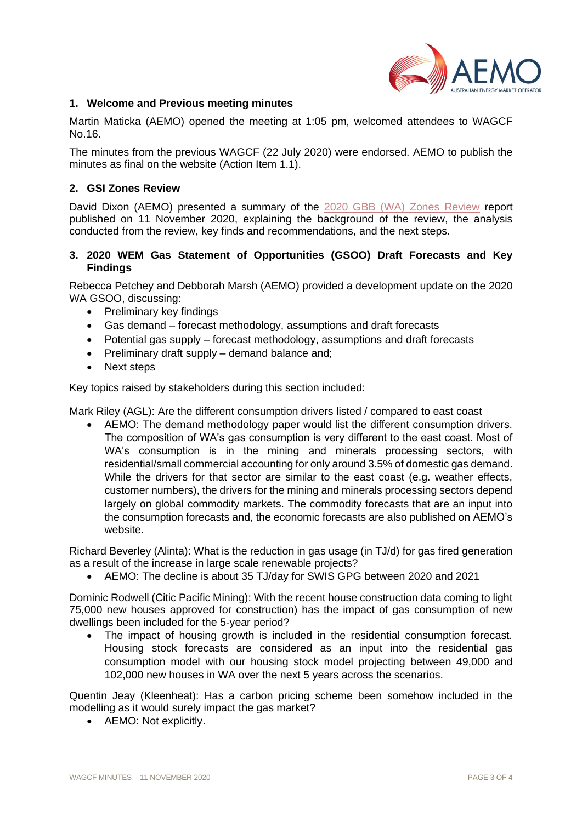

#### **1. Welcome and Previous meeting minutes**

Martin Maticka (AEMO) opened the meeting at 1:05 pm, welcomed attendees to WAGCF No.16.

The minutes from the previous WAGCF (22 July 2020) were endorsed. AEMO to publish the minutes as final on the website (Action Item 1.1).

#### **2. GSI Zones Review**

David Dixon (AEMO) presented a summary of the [2020 GBB \(WA\) Zones Review](https://www.aemo.com.au/consultations/current-and-closed-consultations/2020-gbb-wa-zones-review) report published on 11 November 2020, explaining the background of the review, the analysis conducted from the review, key finds and recommendations, and the next steps.

### **3. 2020 WEM Gas Statement of Opportunities (GSOO) Draft Forecasts and Key Findings**

Rebecca Petchey and Debborah Marsh (AEMO) provided a development update on the 2020 WA GSOO, discussing:

- Preliminary key findings
- Gas demand forecast methodology, assumptions and draft forecasts
- Potential gas supply forecast methodology, assumptions and draft forecasts
- Preliminary draft supply demand balance and;
- Next steps

Key topics raised by stakeholders during this section included:

Mark Riley (AGL): Are the different consumption drivers listed / compared to east coast

• AEMO: The demand methodology paper would list the different consumption drivers. The composition of WA's gas consumption is very different to the east coast. Most of WA's consumption is in the mining and minerals processing sectors, with residential/small commercial accounting for only around 3.5% of domestic gas demand. While the drivers for that sector are similar to the east coast (e.g. weather effects, customer numbers), the drivers for the mining and minerals processing sectors depend largely on global commodity markets. The commodity forecasts that are an input into the consumption forecasts and, the economic forecasts are also published on AEMO's website.

Richard Beverley (Alinta): What is the reduction in gas usage (in TJ/d) for gas fired generation as a result of the increase in large scale renewable projects?

• AEMO: The decline is about 35 TJ/day for SWIS GPG between 2020 and 2021

Dominic Rodwell (Citic Pacific Mining): With the recent house construction data coming to light 75,000 new houses approved for construction) has the impact of gas consumption of new dwellings been included for the 5-year period?

• The impact of housing growth is included in the residential consumption forecast. Housing stock forecasts are considered as an input into the residential gas consumption model with our housing stock model projecting between 49,000 and 102,000 new houses in WA over the next 5 years across the scenarios.

Quentin Jeay (Kleenheat): Has a carbon pricing scheme been somehow included in the modelling as it would surely impact the gas market?

• AEMO: Not explicitly.